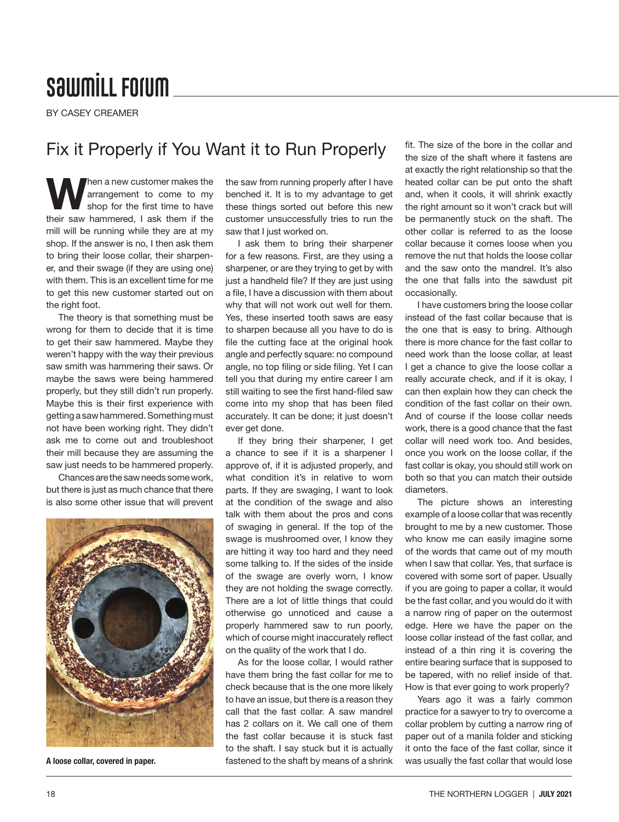## **SawmiLL Forum**

BY CASEY CREAMER

## Fix it Properly if You Want it to Run Properly

When a new customer makes the<br>
shop for the first time to have<br>
their any harmony of the political if the arrangement to come to my their saw hammered, I ask them if the mill will be running while they are at my shop. If the answer is no, I then ask them to bring their loose collar, their sharpener, and their swage (if they are using one) with them. This is an excellent time for me to get this new customer started out on the right foot.

The theory is that something must be wrong for them to decide that it is time to get their saw hammered. Maybe they weren't happy with the way their previous saw smith was hammering their saws. Or maybe the saws were being hammered properly, but they still didn't run properly. Maybe this is their first experience with getting a saw hammered. Something must not have been working right. They didn't ask me to come out and troubleshoot their mill because they are assuming the saw just needs to be hammered properly.

Chances are the saw needs some work, but there is just as much chance that there is also some other issue that will prevent



A loose collar, covered in paper.

the saw from running properly after I have benched it. It is to my advantage to get these things sorted out before this new customer unsuccessfully tries to run the saw that I just worked on.

I ask them to bring their sharpener for a few reasons. First, are they using a sharpener, or are they trying to get by with just a handheld file? If they are just using a file, I have a discussion with them about why that will not work out well for them. Yes, these inserted tooth saws are easy to sharpen because all you have to do is file the cutting face at the original hook angle and perfectly square: no compound angle, no top filing or side filing. Yet I can tell you that during my entire career I am still waiting to see the first hand-filed saw come into my shop that has been filed accurately. It can be done; it just doesn't ever get done.

If they bring their sharpener, I get a chance to see if it is a sharpener I approve of, if it is adjusted properly, and what condition it's in relative to worn parts. If they are swaging, I want to look at the condition of the swage and also talk with them about the pros and cons of swaging in general. If the top of the swage is mushroomed over, I know they are hitting it way too hard and they need some talking to. If the sides of the inside of the swage are overly worn, I know they are not holding the swage correctly. There are a lot of little things that could otherwise go unnoticed and cause a properly hammered saw to run poorly, which of course might inaccurately reflect on the quality of the work that I do.

As for the loose collar, I would rather have them bring the fast collar for me to check because that is the one more likely to have an issue, but there is a reason they call that the fast collar. A saw mandrel has 2 collars on it. We call one of them the fast collar because it is stuck fast to the shaft. I say stuck but it is actually fastened to the shaft by means of a shrink

fit. The size of the bore in the collar and the size of the shaft where it fastens are at exactly the right relationship so that the heated collar can be put onto the shaft and, when it cools, it will shrink exactly the right amount so it won't crack but will be permanently stuck on the shaft. The other collar is referred to as the loose collar because it comes loose when you remove the nut that holds the loose collar and the saw onto the mandrel. It's also the one that falls into the sawdust pit occasionally.

I have customers bring the loose collar instead of the fast collar because that is the one that is easy to bring. Although there is more chance for the fast collar to need work than the loose collar, at least I get a chance to give the loose collar a really accurate check, and if it is okay, I can then explain how they can check the condition of the fast collar on their own. And of course if the loose collar needs work, there is a good chance that the fast collar will need work too. And besides, once you work on the loose collar, if the fast collar is okay, you should still work on both so that you can match their outside diameters.

The picture shows an interesting example of a loose collar that was recently brought to me by a new customer. Those who know me can easily imagine some of the words that came out of my mouth when I saw that collar. Yes, that surface is covered with some sort of paper. Usually if you are going to paper a collar, it would be the fast collar, and you would do it with a narrow ring of paper on the outermost edge. Here we have the paper on the loose collar instead of the fast collar, and instead of a thin ring it is covering the entire bearing surface that is supposed to be tapered, with no relief inside of that. How is that ever going to work properly?

Years ago it was a fairly common practice for a sawyer to try to overcome a collar problem by cutting a narrow ring of paper out of a manila folder and sticking it onto the face of the fast collar, since it was usually the fast collar that would lose